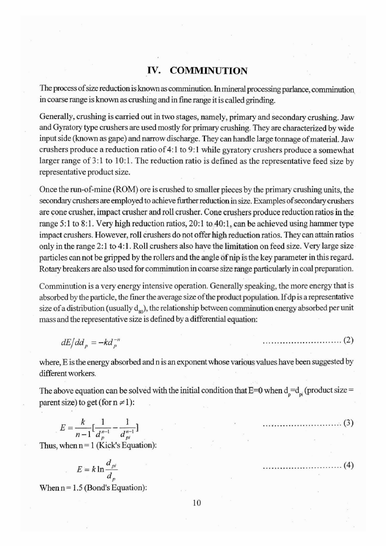## **IV. COMMINUTION**

The process ofsize reduction is known as comminution. In mineral processing parlance, comminution in coarse range is known as crushing and in fine range it is called grinding.

Generally, crushing is carried out in two stages, namely, primary and secondary crushing. Jaw and Gyratory type crushers are used mostly for primary crushing. They are characterized by wide input side (known as gape) and narrow discharge. They can handle large tonnage of material. Jaw crushers produce a reduction ratio of 4:1 to 9:1 while gyratory crushers produce a somewhat larger range of 3:1 to 10:1. The reduction ratio is defined as the representative feed size by representative product size.

Once the run-of-mine (ROM) ore is crushed to smaller pieces by the primary crushing units, the secondary crushers are employed to achieve further reduction in size. Examples of secondary crushers are cone crusher, impact crusher and roll crusher. Cone crushers produce reduction ratios in the range 5:1 to 8:1. Very high reduction ratios, 20:1 to 40:1, can be achieved using hammer type impact crushers. However, roll crushers do not offer high reduction ratios. They can attain ratios only in the range 2:1 to 4:1. Roll crushers also have the limitation on feed size. Very large size particles can not be gripped by the rollers and the angle of nip is the key parameter in this regard. Rotary breakers are also used for comminution in coarse size range particularly in coal preparation.

Comminution is a very energy intensive operation. Generally speaking, the more energy that is absorbed by the particle, the finer the average size of the product population. If dp is a representative size of a distribution (usually  $d_{so}$ ), the relationship between comminution energy absorbed per unit mass and the representative size is defined by a differential equation:

$$
dE/dd_p = -kd_p^{-n} \tag{2}
$$

where, E is the energy absorbed and n is an exponent whose various values have been suggested by different workers.

The above equation can be solved with the initial condition that  $E=0$  when  $d_{p}=d_{pi}$  (product size = parent size) to get (for  $n \neq 1$ ):

$$
E = \frac{k}{n-1} \left[ \frac{1}{d_p^{n-1}} - \frac{1}{d_{p_i}^{n-1}} \right]
$$
 (3)

Thus, when  $n = 1$  (Kick's Equation):

$$
E = k \ln \frac{d_{pi}}{d_{p}}
$$

When  $n = 1.5$  (Bond's Equation):

. . . . . . . (4) . . . . . . . . . . . . . . . . . . . .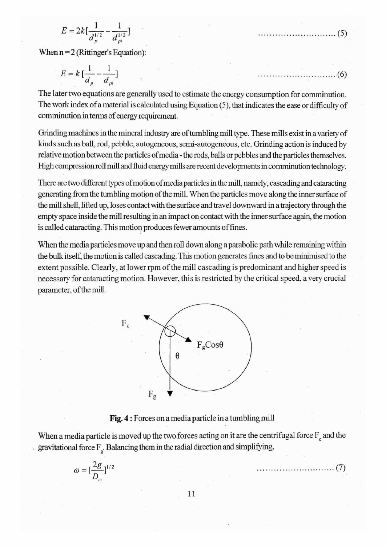$$
E = 2k\left[\frac{1}{d_{p}^{1/2}} - \frac{1}{d_{pi}^{1/2}}\right]
$$

When  $n = 2$  (Rittinger's Equation):

$$
E = k \left[ \frac{1}{d_p} - \frac{1}{d_{pi}} \right]
$$

The later two equations are generally used to estimate the energy consumption for comminution. The work index of a material is calculated using Equation (5), that indicates the ease or difficulty of comminution in terms of energy requirement.

Grinding machines in the mineral industry are of tumbling mill type. These mills exist in a variety of kinds such as ball, rod, pebble, autogeneous, semi-autogeneous, etc. Grinding action is induced by relative motion between the particles ofmedia - the rods, balls or pebbles and the particles themselves. High compression roll mill and fluid energy mills are recent developments in comminution technology.

There are two different types of motion of media particles in the mill, namely, cascading and cataracting generating from the tumbling motion ofthe mill. When the particles move along the inner surface of the mill shell, lifted up, loses contact with the surface and travel downward in a trajectory through the empty space inside the mill resulting in an impact on contact with the inner surface again, the motion is called cataracting. This motion produces fewer amounts of fines.

When the media particles move up and then roll down along a parabolic path while remaining within the bulk itself, the motion is called cascading. This motion generates fines and to be minimised to the extent possible. Clearly, at lower rpm of the mill cascading is predominant and higher speed is necessary for cataracting motion. However, this is restricted by the critical speed, a very crucial parameter, of the mill.



## **Fig. 4 :** Forces on a media particle in a tumbling mill

When a media particle is moved up the two forces acting on it are the centrifugal force  $F_c$  and the gravitational force  $F_{\rho}$ . Balancing them in the radial direction and simplifying,

$$
\omega = \left[\frac{2g}{D_m}\right]^{1/2} \tag{7}
$$

(6)

. . . . . . . . . . . . . . . . . (5)